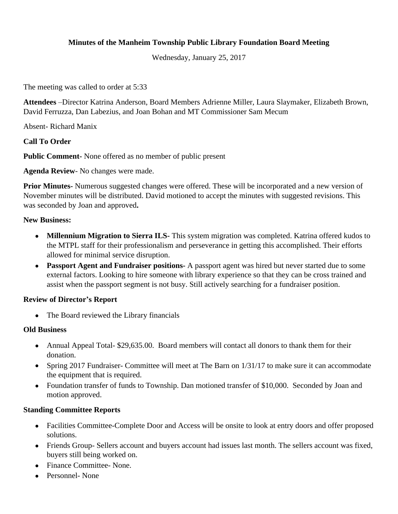### **Minutes of the Manheim Township Public Library Foundation Board Meeting**

Wednesday, January 25, 2017

The meeting was called to order at 5:33

**Attendees** –Director Katrina Anderson, Board Members Adrienne Miller, Laura Slaymaker, Elizabeth Brown, David Ferruzza, Dan Labezius, and Joan Bohan and MT Commissioner Sam Mecum

Absent- Richard Manix

### **Call To Order**

**Public Comment-** None offered as no member of public present

**Agenda Review**- No changes were made.

**Prior Minutes-** Numerous suggested changes were offered. These will be incorporated and a new version of November minutes will be distributed. David motioned to accept the minutes with suggested revisions. This was seconded by Joan and approved**.**

#### **New Business:**

- **Millennium Migration to Sierra ILS-** This system migration was completed. Katrina offered kudos to the MTPL staff for their professionalism and perseverance in getting this accomplished. Their efforts allowed for minimal service disruption.
- **Passport Agent and Fundraiser positions-** A passport agent was hired but never started due to some external factors. Looking to hire someone with library experience so that they can be cross trained and assist when the passport segment is not busy. Still actively searching for a fundraiser position.

#### **Review of Director's Report**

• The Board reviewed the Library financials

#### **Old Business**

- Annual Appeal Total- \$29,635.00. Board members will contact all donors to thank them for their donation.
- Spring 2017 Fundraiser- Committee will meet at The Barn on 1/31/17 to make sure it can accommodate the equipment that is required.
- Foundation transfer of funds to Township. Dan motioned transfer of \$10,000. Seconded by Joan and motion approved.

## **Standing Committee Reports**

- Facilities Committee-Complete Door and Access will be onsite to look at entry doors and offer proposed solutions.
- Friends Group- Sellers account and buyers account had issues last month. The sellers account was fixed, buyers still being worked on.
- Finance Committee- None.
- Personnel- None